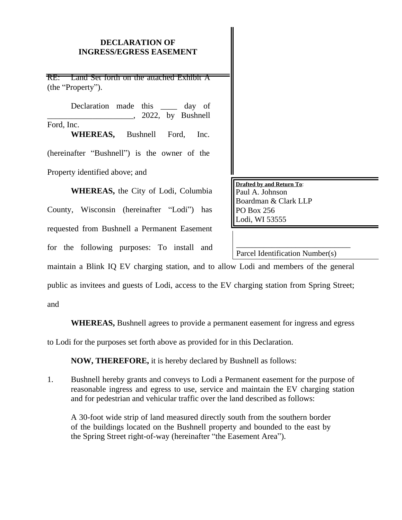# **DECLARATION OF INGRESS/EGRESS EASEMENT**

RE: Land Set forth on the attached Exhibit A (the "Property").

Declaration made this <u>equal</u> day of \_\_\_\_\_\_\_\_\_\_\_\_\_\_\_\_\_\_\_\_\_, 2022, by Bushnell Ford, Inc. **WHEREAS,** Bushnell Ford, Inc. (hereinafter "Bushnell") is the owner of the Property identified above; and

**WHEREAS,** the City of Lodi, Columbia County, Wisconsin (hereinafter "Lodi") has requested from Bushnell a Permanent Easement for the following purposes: To install and **Drafted by and Return To**: Paul A. Johnson Boardman & Clark LLP PO Box 256 Lodi, WI 53555

\_\_\_\_\_\_\_\_\_\_\_\_\_\_\_\_\_\_\_\_\_\_\_\_\_\_\_\_\_ Parcel Identification Number(s)

maintain a Blink IQ EV charging station, and to allow Lodi and members of the general

public as invitees and guests of Lodi, access to the EV charging station from Spring Street;

and

**WHEREAS,** Bushnell agrees to provide a permanent easement for ingress and egress

to Lodi for the purposes set forth above as provided for in this Declaration.

**NOW, THEREFORE,** it is hereby declared by Bushnell as follows:

1. Bushnell hereby grants and conveys to Lodi a Permanent easement for the purpose of reasonable ingress and egress to use, service and maintain the EV charging station and for pedestrian and vehicular traffic over the land described as follows:

A 30-foot wide strip of land measured directly south from the southern border of the buildings located on the Bushnell property and bounded to the east by the Spring Street right-of-way (hereinafter "the Easement Area").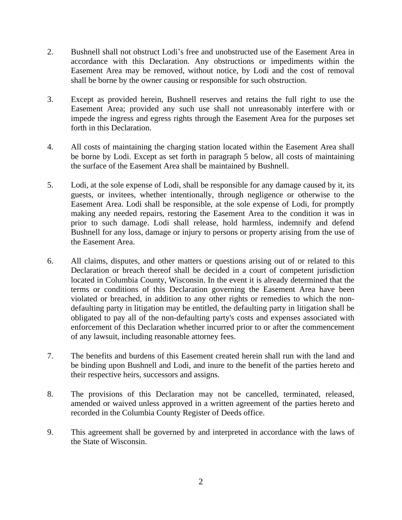- 2. Bushnell shall not obstruct Lodi's free and unobstructed use of the Easement Area in accordance with this Declaration. Any obstructions or impediments within the Easement Area may be removed, without notice, by Lodi and the cost of removal shall be borne by the owner causing or responsible for such obstruction.
- 3. Except as provided herein, Bushnell reserves and retains the full right to use the Easement Area; provided any such use shall not unreasonably interfere with or impede the ingress and egress rights through the Easement Area for the purposes set forth in this Declaration.
- 4. All costs of maintaining the charging station located within the Easement Area shall be borne by Lodi. Except as set forth in paragraph 5 below, all costs of maintaining the surface of the Easement Area shall be maintained by Bushnell.
- 5. Lodi, at the sole expense of Lodi, shall be responsible for any damage caused by it, its guests, or invitees, whether intentionally, through negligence or otherwise to the Easement Area. Lodi shall be responsible, at the sole expense of Lodi, for promptly making any needed repairs, restoring the Easement Area to the condition it was in prior to such damage. Lodi shall release, hold harmless, indemnify and defend Bushnell for any loss, damage or injury to persons or property arising from the use of the Easement Area.
- 6. All claims, disputes, and other matters or questions arising out of or related to this Declaration or breach thereof shall be decided in a court of competent jurisdiction located in Columbia County, Wisconsin. In the event it is already determined that the terms or conditions of this Declaration governing the Easement Area have been violated or breached, in addition to any other rights or remedies to which the nondefaulting party in litigation may be entitled, the defaulting party in litigation shall be obligated to pay all of the non-defaulting party's costs and expenses associated with enforcement of this Declaration whether incurred prior to or after the commencement of any lawsuit, including reasonable attorney fees.
- 7. The benefits and burdens of this Easement created herein shall run with the land and be binding upon Bushnell and Lodi, and inure to the benefit of the parties hereto and their respective heirs, successors and assigns.
- 8. The provisions of this Declaration may not be cancelled, terminated, released, amended or waived unless approved in a written agreement of the parties hereto and recorded in the Columbia County Register of Deeds office.
- 9. This agreement shall be governed by and interpreted in accordance with the laws of the State of Wisconsin.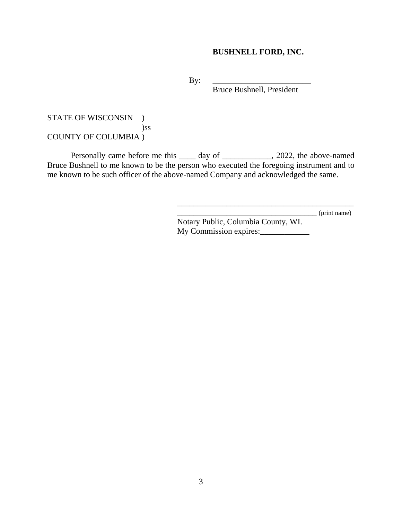# **BUSHNELL FORD, INC.**

 $By:$ 

Bruce Bushnell, President

## STATE OF WISCONSIN ) )ss COUNTY OF COLUMBIA )

Personally came before me this \_\_\_\_ day of \_\_\_\_\_\_\_\_\_\_\_, 2022, the above-named Bruce Bushnell to me known to be the person who executed the foregoing instrument and to me known to be such officer of the above-named Company and acknowledged the same.

\_\_\_\_\_\_\_\_\_\_\_\_\_\_\_\_\_\_\_\_\_\_\_\_\_\_\_\_\_\_\_\_\_\_ (print name)

Notary Public, Columbia County, WI. My Commission expires:

\_\_\_\_\_\_\_\_\_\_\_\_\_\_\_\_\_\_\_\_\_\_\_\_\_\_\_\_\_\_\_\_\_\_\_\_\_\_\_\_\_\_\_